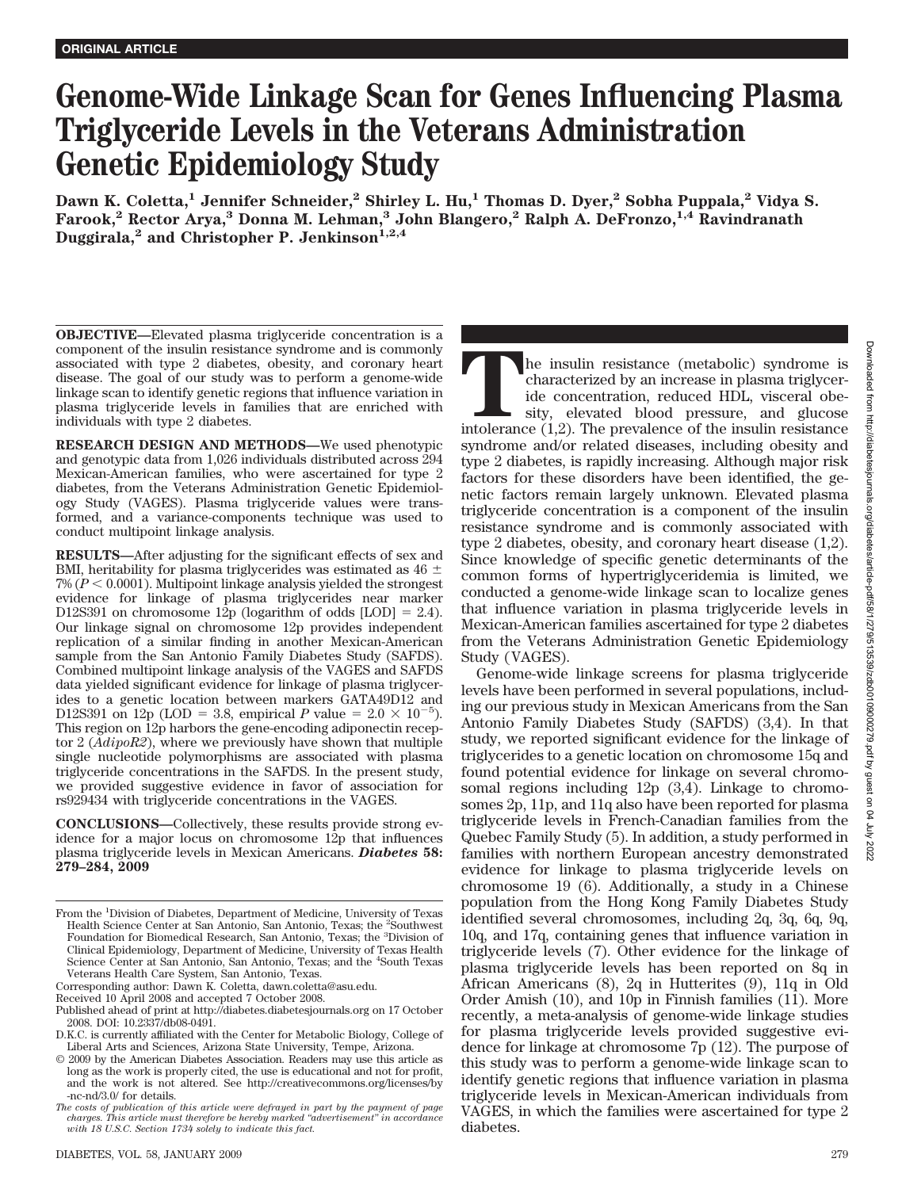# **Genome-Wide Linkage Scan for Genes Influencing Plasma Triglyceride Levels in the Veterans Administration Genetic Epidemiology Study**

**Dawn K. Coletta,1 Jennifer Schneider,2 Shirley L. Hu,1 Thomas D. Dyer,2 Sobha Puppala,2 Vidya S. Farook,2 Rector Arya,3 Donna M. Lehman,3 John Blangero,2 Ralph A. DeFronzo,1,4 Ravindranath** Duggirala,<sup>2</sup> and Christopher P. Jenkinson<sup>1,2,4</sup>

**OBJECTIVE—**Elevated plasma triglyceride concentration is a component of the insulin resistance syndrome and is commonly associated with type 2 diabetes, obesity, and coronary heart disease. The goal of our study was to perform a genome-wide linkage scan to identify genetic regions that influence variation in plasma triglyceride levels in families that are enriched with individuals with type 2 diabetes.

**RESEARCH DESIGN AND METHODS—**We used phenotypic and genotypic data from 1,026 individuals distributed across 294 Mexican-American families, who were ascertained for type 2 diabetes, from the Veterans Administration Genetic Epidemiology Study (VAGES). Plasma triglyceride values were transformed, and a variance-components technique was used to conduct multipoint linkage analysis.

**RESULTS—**After adjusting for the significant effects of sex and BMI, heritability for plasma triglycerides was estimated as 46  $\pm$  $7\% (P < 0.0001)$ . Multipoint linkage analysis yielded the strongest evidence for linkage of plasma triglycerides near marker D12S391 on chromosome 12p (logarithm of odds  $[LOD] = 2.4$ ). Our linkage signal on chromosome 12p provides independent replication of a similar finding in another Mexican-American sample from the San Antonio Family Diabetes Study (SAFDS). Combined multipoint linkage analysis of the VAGES and SAFDS data yielded significant evidence for linkage of plasma triglycerides to a genetic location between markers GATA49D12 and D12S391 on 12p (LOD = 3.8, empirical *P* value =  $2.0 \times 10^{-5}$ ). This region on 12p harbors the gene-encoding adiponectin receptor 2 (*AdipoR2*), where we previously have shown that multiple single nucleotide polymorphisms are associated with plasma triglyceride concentrations in the SAFDS. In the present study, we provided suggestive evidence in favor of association for rs929434 with triglyceride concentrations in the VAGES.

**CONCLUSIONS—**Collectively, these results provide strong evidence for a major locus on chromosome 12p that influences plasma triglyceride levels in Mexican Americans. *Diabetes* **58: 279–284, 2009**

The insulin resistance (metabolic) syndrome is characterized by an increase in plasma triglyceride concentration, reduced HDL, visceral obesity, elevated blood pressure, and glucose intolerance (1,2). The prevalence of the characterized by an increase in plasma triglyceride concentration, reduced HDL, visceral obesity, elevated blood pressure, and glucose syndrome and/or related diseases, including obesity and type 2 diabetes, is rapidly increasing. Although major risk factors for these disorders have been identified, the genetic factors remain largely unknown. Elevated plasma triglyceride concentration is a component of the insulin resistance syndrome and is commonly associated with type 2 diabetes, obesity, and coronary heart disease (1,2). Since knowledge of specific genetic determinants of the common forms of hypertriglyceridemia is limited, we conducted a genome-wide linkage scan to localize genes that influence variation in plasma triglyceride levels in Mexican-American families ascertained for type 2 diabetes from the Veterans Administration Genetic Epidemiology Study (VAGES).

Genome-wide linkage screens for plasma triglyceride levels have been performed in several populations, including our previous study in Mexican Americans from the San Antonio Family Diabetes Study (SAFDS) (3,4). In that study, we reported significant evidence for the linkage of triglycerides to a genetic location on chromosome 15q and found potential evidence for linkage on several chromosomal regions including 12p (3,4). Linkage to chromosomes 2p, 11p, and 11q also have been reported for plasma triglyceride levels in French-Canadian families from the Quebec Family Study (5). In addition, a study performed in families with northern European ancestry demonstrated evidence for linkage to plasma triglyceride levels on chromosome 19 (6). Additionally, a study in a Chinese population from the Hong Kong Family Diabetes Study identified several chromosomes, including 2q, 3q, 6q, 9q, 10q, and 17q, containing genes that influence variation in triglyceride levels (7). Other evidence for the linkage of plasma triglyceride levels has been reported on 8q in African Americans (8), 2q in Hutterites (9), 11q in Old Order Amish (10), and 10p in Finnish families (11). More recently, a meta-analysis of genome-wide linkage studies for plasma triglyceride levels provided suggestive evidence for linkage at chromosome 7p (12). The purpose of this study was to perform a genome-wide linkage scan to identify genetic regions that influence variation in plasma triglyceride levels in Mexican-American individuals from VAGES, in which the families were ascertained for type 2 diabetes.

From the <sup>1</sup>Division of Diabetes, Department of Medicine, University of Texas Health Science Center at San Antonio, San Antonio, Texas; the <sup>2</sup>Southwest Foundation for Biomedical Research, San Antonio, Texas; the <sup>3</sup>Division of Clinical Epidemiology, Department of Medicine, University of Texas Health Science Center at San Antonio, San Antonio, Texas; and the <sup>4</sup>South Texas Veterans Health Care System, San Antonio, Texas.

Corresponding author: Dawn K. Coletta, dawn.coletta@asu.edu.

Received 10 April 2008 and accepted 7 October 2008.

Published ahead of print at http://diabetes.diabetesjournals.org on 17 October 2008. DOI: 10.2337/db08-0491.

D.K.C. is currently affiliated with the Center for Metabolic Biology, College of Liberal Arts and Sciences, Arizona State University, Tempe, Arizona.

<sup>© 2009</sup> by the American Diabetes Association. Readers may use this article as long as the work is properly cited, the use is educational and not for profit, and the work is not altered. See http://creativecommons.org/licenses/by -nc-nd/3.0/ for details.

*The costs of publication of this article were defrayed in part by the payment of page charges. This article must therefore be hereby marked "advertisement" in accordance with 18 U.S.C. Section 1734 solely to indicate this fact.*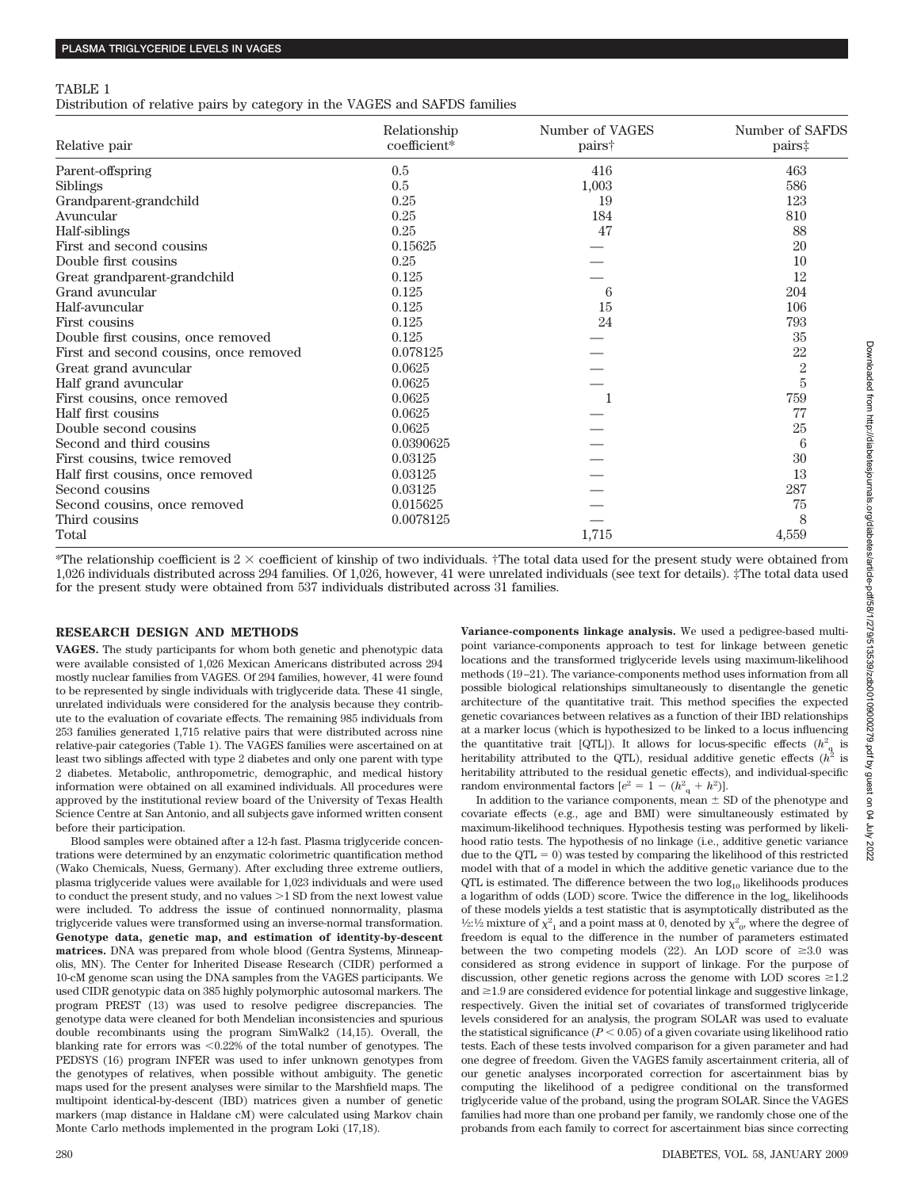#### TABLE 1

Distribution of relative pairs by category in the VAGES and SAFDS families

| Relative pair                          | Relationship<br>coefficient* | Number of VAGES<br>pairs† | Number of SAFDS<br>pairs‡ |
|----------------------------------------|------------------------------|---------------------------|---------------------------|
| Parent-offspring                       | 0.5                          | 416                       | 463                       |
| <b>Siblings</b>                        | 0.5                          | 1,003                     | 586                       |
| Grandparent-grandchild                 | 0.25                         | 19                        | 123                       |
| Avuncular                              | 0.25                         | 184                       | 810                       |
| Half-siblings                          | 0.25                         | 47                        | 88                        |
| First and second cousins               | 0.15625                      |                           | 20                        |
| Double first cousins                   | 0.25                         |                           | 10                        |
| Great grandparent-grandchild           | 0.125                        |                           | 12                        |
| Grand avuncular                        | 0.125                        | 6                         | 204                       |
| Half-avuncular                         | 0.125                        | 15                        | 106                       |
| First cousins                          | 0.125                        | 24                        | 793                       |
| Double first cousins, once removed     | 0.125                        |                           | 35                        |
| First and second cousins, once removed | 0.078125                     |                           | 22                        |
| Great grand avuncular                  | 0.0625                       |                           | $\overline{2}$            |
| Half grand avuncular                   | 0.0625                       |                           | $\overline{5}$            |
| First cousins, once removed            | 0.0625                       |                           | 759                       |
| Half first cousins                     | 0.0625                       |                           | 77                        |
| Double second cousins                  | 0.0625                       |                           | 25                        |
| Second and third cousins               | 0.0390625                    |                           | 6                         |
| First cousins, twice removed           | 0.03125                      |                           | 30                        |
| Half first cousins, once removed       | 0.03125                      |                           | 13                        |
| Second cousins                         | 0.03125                      |                           | 287                       |
| Second cousins, once removed           | 0.015625                     |                           | 75                        |
| Third cousins                          | 0.0078125                    |                           | 8                         |
| Total                                  |                              | 1,715                     | 4,559                     |

\*The relationship coefficient is  $2 \times$  coefficient of kinship of two individuals. †The total data used for the present study were obtained from 1,026 individuals distributed across 294 families. Of 1,026, however, 41 were unrelated individuals (see text for details). ‡The total data used for the present study were obtained from 537 individuals distributed across 31 families.

#### **RESEARCH DESIGN AND METHODS**

**VAGES.** The study participants for whom both genetic and phenotypic data were available consisted of 1,026 Mexican Americans distributed across 294 mostly nuclear families from VAGES. Of 294 families, however, 41 were found to be represented by single individuals with triglyceride data. These 41 single, unrelated individuals were considered for the analysis because they contribute to the evaluation of covariate effects. The remaining 985 individuals from 253 families generated 1,715 relative pairs that were distributed across nine relative-pair categories (Table 1). The VAGES families were ascertained on at least two siblings affected with type 2 diabetes and only one parent with type 2 diabetes. Metabolic, anthropometric, demographic, and medical history information were obtained on all examined individuals. All procedures were approved by the institutional review board of the University of Texas Health Science Centre at San Antonio, and all subjects gave informed written consent before their participation.

Blood samples were obtained after a 12-h fast. Plasma triglyceride concentrations were determined by an enzymatic colorimetric quantification method (Wako Chemicals, Nuess, Germany). After excluding three extreme outliers, plasma triglyceride values were available for 1,023 individuals and were used to conduct the present study, and no values  $>1$  SD from the next lowest value were included. To address the issue of continued nonnormality, plasma triglyceride values were transformed using an inverse-normal transformation. **Genotype data, genetic map, and estimation of identity-by-descent matrices.** DNA was prepared from whole blood (Gentra Systems, Minneapolis, MN). The Center for Inherited Disease Research (CIDR) performed a 10-cM genome scan using the DNA samples from the VAGES participants. We used CIDR genotypic data on 385 highly polymorphic autosomal markers. The program PREST (13) was used to resolve pedigree discrepancies. The genotype data were cleaned for both Mendelian inconsistencies and spurious double recombinants using the program SimWalk2 (14,15). Overall, the blanking rate for errors was <0.22% of the total number of genotypes. The PEDSYS (16) program INFER was used to infer unknown genotypes from the genotypes of relatives, when possible without ambiguity. The genetic maps used for the present analyses were similar to the Marshfield maps. The multipoint identical-by-descent (IBD) matrices given a number of genetic markers (map distance in Haldane cM) were calculated using Markov chain Monte Carlo methods implemented in the program Loki (17,18).

**Variance-components linkage analysis.** We used a pedigree-based multipoint variance-components approach to test for linkage between genetic locations and the transformed triglyceride levels using maximum-likelihood methods (19 –21). The variance-components method uses information from all possible biological relationships simultaneously to disentangle the genetic architecture of the quantitative trait. This method specifies the expected genetic covariances between relatives as a function of their IBD relationships at a marker locus (which is hypothesized to be linked to a locus influencing the quantitative trait [QTL]). It allows for locus-specific effects  $(h^2_{q}$  is heritability attributed to the QTL), residual additive genetic effects  $(h^2)$  is heritability attributed to the residual genetic effects), and individual-specific random environmental factors  $[e^2 = 1 - (h_{\rm q}^2 + h^2)]$ .

In addition to the variance components, mean  $\pm$  SD of the phenotype and covariate effects (e.g., age and BMI) were simultaneously estimated by maximum-likelihood techniques. Hypothesis testing was performed by likelihood ratio tests. The hypothesis of no linkage (i.e., additive genetic variance due to the  $QTL = 0$ ) was tested by comparing the likelihood of this restricted model with that of a model in which the additive genetic variance due to the QTL is estimated. The difference between the two  $\log_{10}$  likelihoods produces a logarithm of odds  $(LOD)$  score. Twice the difference in the  $log<sub>e</sub>$  likelihoods of these models yields a test statistic that is asymptotically distributed as the  $1/2:1/2$  mixture of  $\chi^2_{1}$  and a point mass at 0, denoted by  $\chi^2_{0}$ , where the degree of freedom is equal to the difference in the number of parameters estimated between the two competing models (22). An LOD score of  $\geq 3.0$  was considered as strong evidence in support of linkage. For the purpose of discussion, other genetic regions across the genome with LOD scores  $\geq 1.2$ and  $\geq$ 1.9 are considered evidence for potential linkage and suggestive linkage. respectively. Given the initial set of covariates of transformed triglyceride levels considered for an analysis, the program SOLAR was used to evaluate the statistical significance  $(P < 0.05)$  of a given covariate using likelihood ratio tests. Each of these tests involved comparison for a given parameter and had one degree of freedom. Given the VAGES family ascertainment criteria, all of our genetic analyses incorporated correction for ascertainment bias by computing the likelihood of a pedigree conditional on the transformed triglyceride value of the proband, using the program SOLAR. Since the VAGES families had more than one proband per family, we randomly chose one of the probands from each family to correct for ascertainment bias since correcting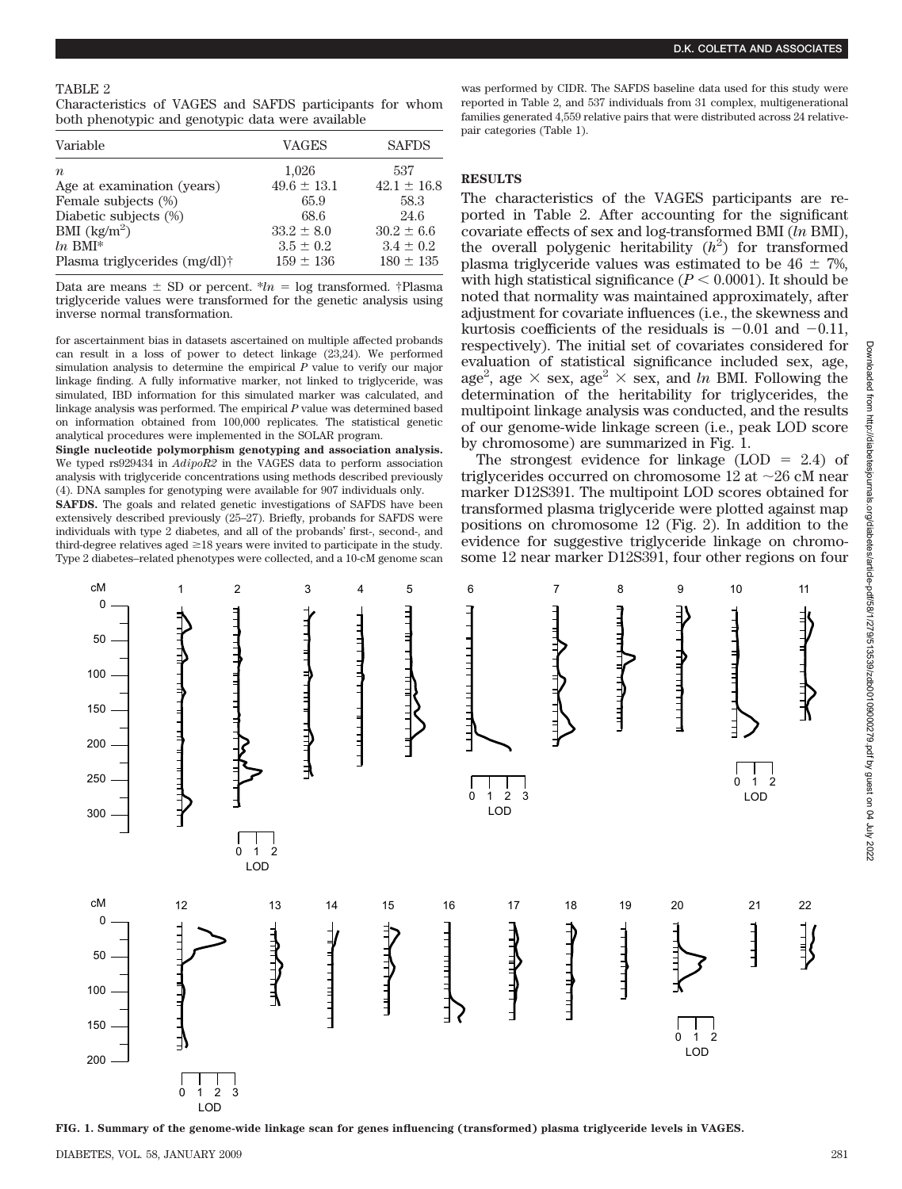Characteristics of VAGES and SAFDS participants for whom both phenotypic and genotypic data were available

| Variable                          | VAGES           | <b>SAFDS</b>    |
|-----------------------------------|-----------------|-----------------|
| $\boldsymbol{n}$                  | 1,026           | 537             |
| Age at examination (years)        | $49.6 \pm 13.1$ | $42.1 \pm 16.8$ |
| Female subjects (%)               | 65.9            | 58.3            |
| Diabetic subjects (%)             | 68.6            | 24.6            |
| BMI $\left(\frac{kg}{m^2}\right)$ | $33.2 \pm 8.0$  | $30.2 \pm 6.6$  |
| $ln$ BMI*                         | $3.5 \pm 0.2$   | $3.4 \pm 0.2$   |
| Plasma triglycerides $(mg/dl)$ †  | $159 \pm 136$   | $180 \pm 135$   |

Data are means  $\pm$  SD or percent.  $*ln = log$  transformed. †Plasma triglyceride values were transformed for the genetic analysis using inverse normal transformation.

for ascertainment bias in datasets ascertained on multiple affected probands can result in a loss of power to detect linkage (23,24). We performed simulation analysis to determine the empirical *P* value to verify our major linkage finding. A fully informative marker, not linked to triglyceride, was simulated, IBD information for this simulated marker was calculated, and linkage analysis was performed. The empirical *P* value was determined based on information obtained from 100,000 replicates. The statistical genetic analytical procedures were implemented in the SOLAR program.

**Single nucleotide polymorphism genotyping and association analysis.** We typed rs929434 in *AdipoR2* in the VAGES data to perform association analysis with triglyceride concentrations using methods described previously (4). DNA samples for genotyping were available for 907 individuals only.

**SAFDS.** The goals and related genetic investigations of SAFDS have been extensively described previously (25–27). Briefly, probands for SAFDS were individuals with type 2 diabetes, and all of the probands' first-, second-, and third-degree relatives aged  $\geq$  18 years were invited to participate in the study. Type 2 diabetes–related phenotypes were collected, and a 10-cM genome scan was performed by CIDR. The SAFDS baseline data used for this study were reported in Table 2, and 537 individuals from 31 complex, multigenerational families generated 4,559 relative pairs that were distributed across 24 relativepair categories (Table 1).

# **RESULTS**

The characteristics of the VAGES participants are reported in Table 2. After accounting for the significant covariate effects of sex and log-transformed BMI (*ln* BMI), the overall polygenic heritability  $(h^2)$  for transformed plasma triglyceride values was estimated to be  $46 \pm 7\%$ , with high statistical significance  $(P < 0.0001)$ . It should be noted that normality was maintained approximately, after adjustment for covariate influences (i.e., the skewness and kurtosis coefficients of the residuals is  $-0.01$  and  $-0.11$ , respectively). The initial set of covariates considered for evaluation of statistical significance included sex, age, age<sup>2</sup>, age  $\times$  sex, age<sup>2</sup>  $\times$  sex, and *ln* BMI. Following the determination of the heritability for triglycerides, the multipoint linkage analysis was conducted, and the results of our genome-wide linkage screen (i.e., peak LOD score by chromosome) are summarized in Fig. 1.

The strongest evidence for linkage  $(LOD = 2.4)$  of triglycerides occurred on chromosome 12 at  $\sim$ 26 cM near marker D12S391. The multipoint LOD scores obtained for transformed plasma triglyceride were plotted against map positions on chromosome 12 (Fig. 2). In addition to the evidence for suggestive triglyceride linkage on chromosome 12 near marker D12S391, four other regions on four



**FIG. 1. Summary of the genome-wide linkage scan for genes influencing (transformed) plasma triglyceride levels in VAGES.**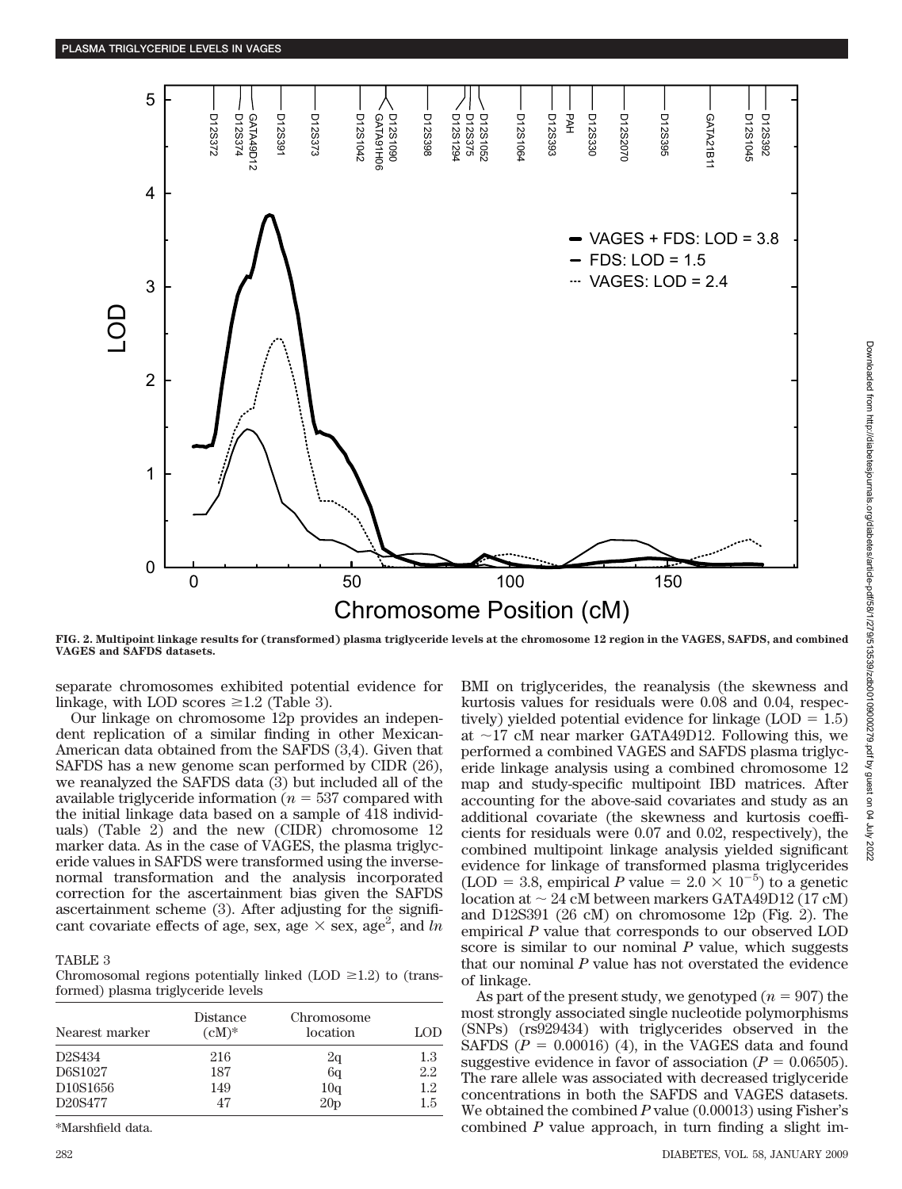

**FIG. 2. Multipoint linkage results for (transformed) plasma triglyceride levels at the chromosome 12 region in the VAGES, SAFDS, and combined VAGES and SAFDS datasets.**

separate chromosomes exhibited potential evidence for linkage, with LOD scores  $\geq$ 1.2 (Table 3).

Our linkage on chromosome 12p provides an independent replication of a similar finding in other Mexican-American data obtained from the SAFDS (3,4). Given that SAFDS has a new genome scan performed by CIDR (26), we reanalyzed the SAFDS data (3) but included all of the available triglyceride information  $(n = 537)$  compared with the initial linkage data based on a sample of 418 individuals) (Table 2) and the new (CIDR) chromosome 12 marker data. As in the case of VAGES, the plasma triglyceride values in SAFDS were transformed using the inversenormal transformation and the analysis incorporated correction for the ascertainment bias given the SAFDS ascertainment scheme (3). After adjusting for the significant covariate effects of age, sex, age  $\times$  sex, age<sup>2</sup>, and *ln* 

# TABLE 3

Chromosomal regions potentially linked (LOD  $\geq$ 1.2) to (transformed) plasma triglyceride levels

| Nearest marker                    | Distance<br>$(cM)^*$ | Chromosome<br>location | LOD |
|-----------------------------------|----------------------|------------------------|-----|
| D <sub>2</sub> S <sub>434</sub>   | 216                  | 2q                     | 1.3 |
| D6S1027                           | 187                  | 6 <sub>q</sub>         | 2.2 |
| D <sub>10</sub> S <sub>1656</sub> | 149                  | 10 <sub>q</sub>        | 1.2 |
| D <sub>20</sub> S <sub>477</sub>  | 47                   | 20 <sub>p</sub>        | 1.5 |

\*Marshfield data.

BMI on triglycerides, the reanalysis (the skewness and kurtosis values for residuals were 0.08 and 0.04, respectively) yielded potential evidence for linkage  $(LOD = 1.5)$ at  $\sim$ 17 cM near marker GATA49D12. Following this, we performed a combined VAGES and SAFDS plasma triglyceride linkage analysis using a combined chromosome 12 map and study-specific multipoint IBD matrices. After accounting for the above-said covariates and study as an additional covariate (the skewness and kurtosis coefficients for residuals were 0.07 and 0.02, respectively), the combined multipoint linkage analysis yielded significant evidence for linkage of transformed plasma triglycerides (LOD = 3.8, empirical *P* value =  $2.0 \times 10^{-5}$ ) to a genetic location at  $\sim 24$  cM between markers GATA49D12 (17 cM) and D12S391 (26 cM) on chromosome 12p (Fig. 2). The empirical *P* value that corresponds to our observed LOD score is similar to our nominal *P* value, which suggests that our nominal *P* value has not overstated the evidence of linkage.

As part of the present study, we genotyped  $(n = 907)$  the most strongly associated single nucleotide polymorphisms (SNPs) (rs929434) with triglycerides observed in the SAFDS  $(P = 0.00016)$  (4), in the VAGES data and found suggestive evidence in favor of association  $(P = 0.06505)$ . The rare allele was associated with decreased triglyceride concentrations in both the SAFDS and VAGES datasets. We obtained the combined *P* value (0.00013) using Fisher's combined *P* value approach, in turn finding a slight im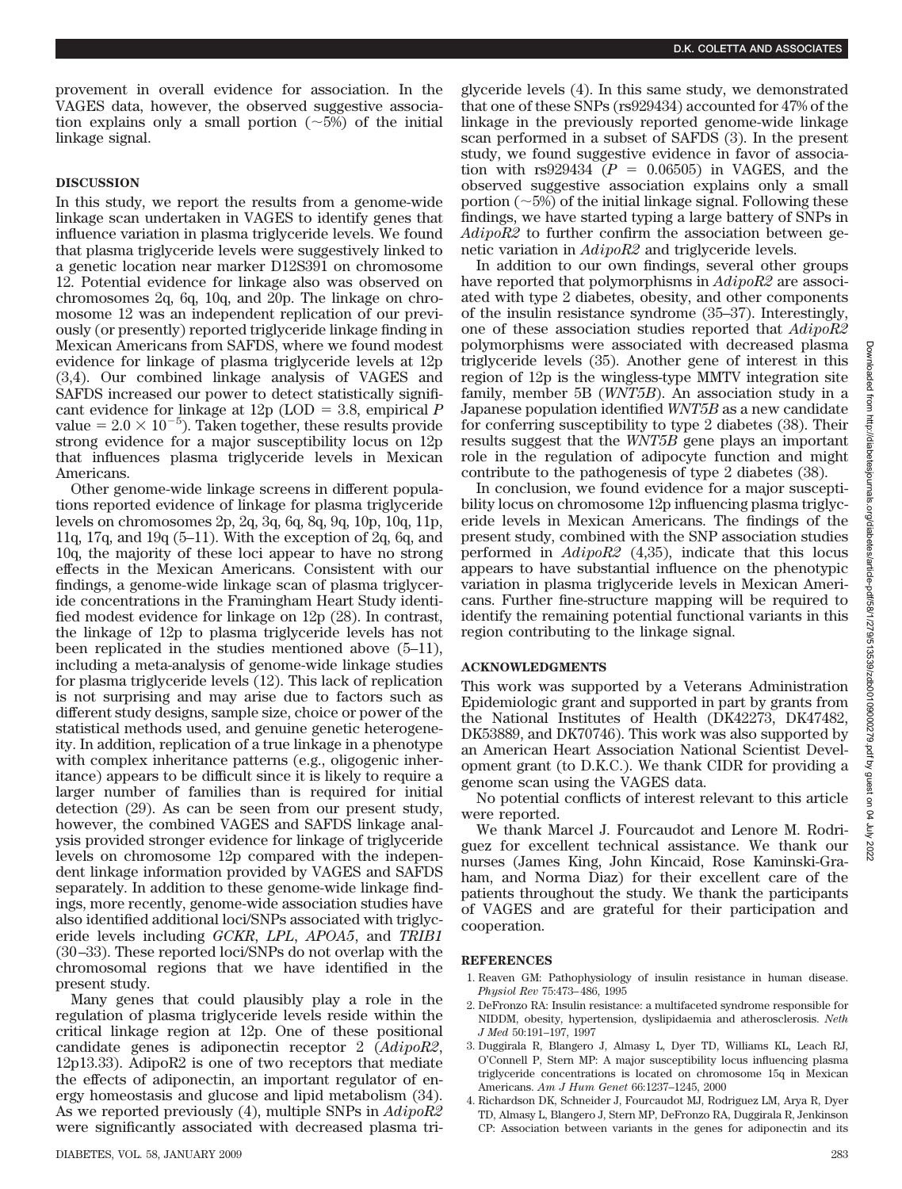provement in overall evidence for association. In the VAGES data, however, the observed suggestive association explains only a small portion  $(\sim 5\%)$  of the initial linkage signal.

# **DISCUSSION**

In this study, we report the results from a genome-wide linkage scan undertaken in VAGES to identify genes that influence variation in plasma triglyceride levels. We found that plasma triglyceride levels were suggestively linked to a genetic location near marker D12S391 on chromosome 12. Potential evidence for linkage also was observed on chromosomes 2q, 6q, 10q, and 20p. The linkage on chromosome 12 was an independent replication of our previously (or presently) reported triglyceride linkage finding in Mexican Americans from SAFDS, where we found modest evidence for linkage of plasma triglyceride levels at 12p (3,4). Our combined linkage analysis of VAGES and SAFDS increased our power to detect statistically significant evidence for linkage at  $12p$  (LOD = 3.8, empirical *P* value =  $2.0 \times 10^{-5}$ ). Taken together, these results provide strong evidence for a major susceptibility locus on 12p that influences plasma triglyceride levels in Mexican Americans.

Other genome-wide linkage screens in different populations reported evidence of linkage for plasma triglyceride levels on chromosomes 2p, 2q, 3q, 6q, 8q, 9q, 10p, 10q, 11p, 11q, 17q, and 19q (5–11). With the exception of 2q, 6q, and 10q, the majority of these loci appear to have no strong effects in the Mexican Americans. Consistent with our findings, a genome-wide linkage scan of plasma triglyceride concentrations in the Framingham Heart Study identified modest evidence for linkage on 12p (28). In contrast, the linkage of 12p to plasma triglyceride levels has not been replicated in the studies mentioned above (5–11), including a meta-analysis of genome-wide linkage studies for plasma triglyceride levels (12). This lack of replication is not surprising and may arise due to factors such as different study designs, sample size, choice or power of the statistical methods used, and genuine genetic heterogeneity. In addition, replication of a true linkage in a phenotype with complex inheritance patterns (e.g., oligogenic inheritance) appears to be difficult since it is likely to require a larger number of families than is required for initial detection (29). As can be seen from our present study, however, the combined VAGES and SAFDS linkage analysis provided stronger evidence for linkage of triglyceride levels on chromosome 12p compared with the independent linkage information provided by VAGES and SAFDS separately. In addition to these genome-wide linkage findings, more recently, genome-wide association studies have also identified additional loci/SNPs associated with triglyceride levels including *GCKR*, *LPL*, *APOA5*, and *TRIB1* (30 –33). These reported loci/SNPs do not overlap with the chromosomal regions that we have identified in the present study.

Many genes that could plausibly play a role in the regulation of plasma triglyceride levels reside within the critical linkage region at 12p. One of these positional candidate genes is adiponectin receptor 2 (*AdipoR2*, 12p13.33). AdipoR2 is one of two receptors that mediate the effects of adiponectin, an important regulator of energy homeostasis and glucose and lipid metabolism (34). As we reported previously (4), multiple SNPs in *AdipoR2* were significantly associated with decreased plasma triglyceride levels (4). In this same study, we demonstrated that one of these SNPs (rs929434) accounted for 47% of the linkage in the previously reported genome-wide linkage scan performed in a subset of SAFDS (3). In the present study, we found suggestive evidence in favor of association with  $rs929434$   $(P = 0.06505)$  in VAGES, and the observed suggestive association explains only a small portion  $(\sim 5\%)$  of the initial linkage signal. Following these findings, we have started typing a large battery of SNPs in *AdipoR2* to further confirm the association between genetic variation in *AdipoR2* and triglyceride levels.

In addition to our own findings, several other groups have reported that polymorphisms in *AdipoR2* are associated with type 2 diabetes, obesity, and other components of the insulin resistance syndrome (35–37). Interestingly, one of these association studies reported that *AdipoR2* polymorphisms were associated with decreased plasma triglyceride levels (35). Another gene of interest in this region of 12p is the wingless-type MMTV integration site family, member 5B (*WNT5B*). An association study in a Japanese population identified *WNT5B* as a new candidate for conferring susceptibility to type 2 diabetes (38). Their results suggest that the *WNT5B* gene plays an important role in the regulation of adipocyte function and might contribute to the pathogenesis of type 2 diabetes (38).

In conclusion, we found evidence for a major susceptibility locus on chromosome 12p influencing plasma triglyceride levels in Mexican Americans. The findings of the present study, combined with the SNP association studies performed in *AdipoR2* (4,35), indicate that this locus appears to have substantial influence on the phenotypic variation in plasma triglyceride levels in Mexican Americans. Further fine-structure mapping will be required to identify the remaining potential functional variants in this region contributing to the linkage signal.

## **ACKNOWLEDGMENTS**

This work was supported by a Veterans Administration Epidemiologic grant and supported in part by grants from the National Institutes of Health (DK42273, DK47482, DK53889, and DK70746). This work was also supported by an American Heart Association National Scientist Development grant (to D.K.C.). We thank CIDR for providing a genome scan using the VAGES data.

No potential conflicts of interest relevant to this article were reported.

We thank Marcel J. Fourcaudot and Lenore M. Rodriguez for excellent technical assistance. We thank our nurses (James King, John Kincaid, Rose Kaminski-Graham, and Norma Diaz) for their excellent care of the patients throughout the study. We thank the participants of VAGES and are grateful for their participation and cooperation.

## **REFERENCES**

- 1. Reaven GM: Pathophysiology of insulin resistance in human disease. *Physiol Rev* 75:473– 486, 1995
- 2. DeFronzo RA: Insulin resistance: a multifaceted syndrome responsible for NIDDM, obesity, hypertension, dyslipidaemia and atherosclerosis. *Neth J Med* 50:191–197, 1997
- 3. Duggirala R, Blangero J, Almasy L, Dyer TD, Williams KL, Leach RJ, O'Connell P, Stern MP: A major susceptibility locus influencing plasma triglyceride concentrations is located on chromosome 15q in Mexican Americans. *Am J Hum Genet* 66:1237–1245, 2000
- 4. Richardson DK, Schneider J, Fourcaudot MJ, Rodriguez LM, Arya R, Dyer TD, Almasy L, Blangero J, Stern MP, DeFronzo RA, Duggirala R, Jenkinson CP: Association between variants in the genes for adiponectin and its